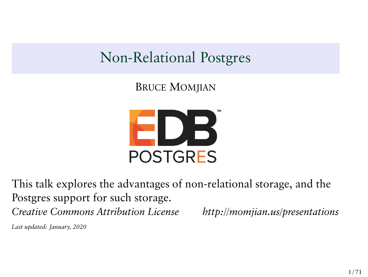# Non-Relational Postgres

BRUCE MOMJIAN



This talk explores the advantages of non-relational storage, and the Postgres support for such storage. *Creative Commons Attribution License http://momjian.us/presentations Last updated: January, 2020*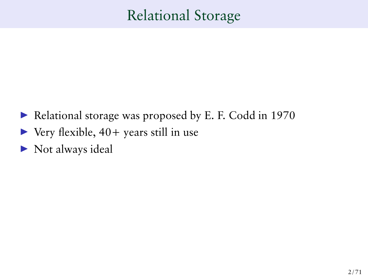# Relational Storage

- ▶ Relational storage was proposed by E. F. Codd in 1970
- $\triangleright$  Very flexible, 40 + years still in use
- $\blacktriangleright$  Not always ideal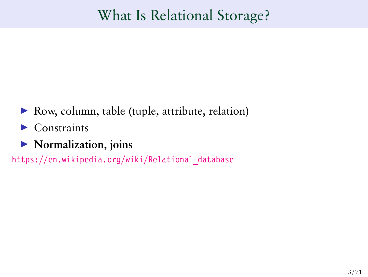# What Is Relational Storage?

- ▶ Row, column, table (tuple, attribute, relation)
- $\blacktriangleright$  Constraints
- ▶ Normalization, joins

[https://en.wikipedia.org/wiki/Relational\\_database](https://en.wikipedia.org/wiki/Relational_database)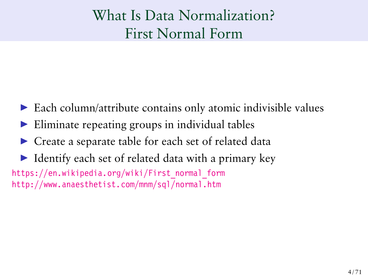# What Is Data Normalization? First Normal Form

- $\triangleright$  Each column/attribute contains only atomic indivisible values
- Eliminate repeating groups in individual tables
- ▶ Create a separate table for each set of related data
- $\blacktriangleright$  Identify each set of related data with a primary key

[https://en.wikipedia.org/wiki/First\\_normal\\_form](https://en.wikipedia.org/wiki/First_normal_form) <http://www.anaesthetist.com/mnm/sql/normal.htm>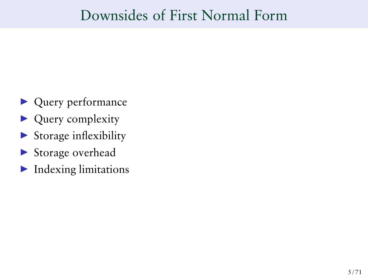## Downsides of First Normal Form

- ▶ Query performance
- $\blacktriangleright$  Query complexity
- $\triangleright$  Storage inflexibility
- ▶ Storage overhead
- **Indexing limitations**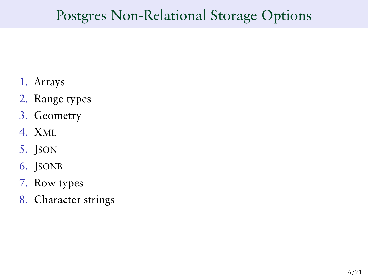# Postgres Non-Relational Storage Options

- 1. Arrays
- 2. Range types
- 3. Geometry
- 4. XML
- 5. JSON
- 6. JSONB
- 7. Row types
- 8. Character strings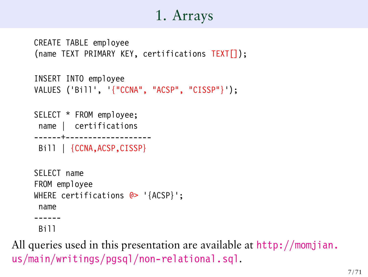# 1. Arrays

CREATE TABLE employee (name TEXT PRIMARY KEY, certifications TEXT[]);

```
INSERT INTO employee
VALUES ('Bill', '{"CCNA", "ACSP", "CISSP"}');
SELECT * FROM employee;
 name | certifications
------+-------------------
Bill | {CCNA, ACSP, CISSP}
SELECT name
FROM employee
WHERE certifications \mathbb{Q} '{ACSP}';
name
------
Bill
```
All queries used in this presentation are available at [http://momjian.](http://momjian.us/main/writings/pgsql/non-relational.sql) [us/main/writings/pgsql/non-relational.sql](http://momjian.us/main/writings/pgsql/non-relational.sql).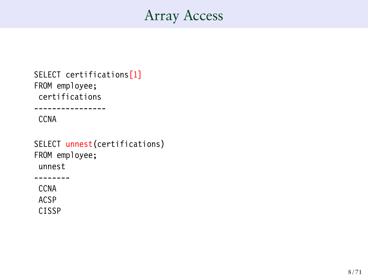## Array Access

SELECT certifications<sup>[1]</sup> FROM employee; certifications ----------------

CCNA

SELECT unnest(certifications) FROM employee; unnest -------- CCNA ACSP

CISSP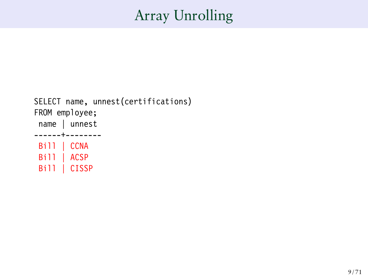# Array Unrolling

```
SELECT name, unnest(certifications)
FROM employee;
 name | unnest
------+--------
 Bill | CCNA
 Bill | ACSP
 Bill | CISSP
```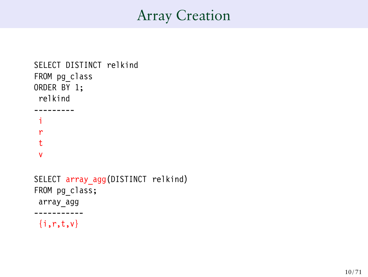## Array Creation

```
SELECT DISTINCT relkind
FROM pg_class
ORDER BY 1;
 relkind
---------
 i
 r
 t
 v
SELECT array_agg(DISTINCT relkind)
FROM pg_class;
 array_agg
-----------
 \{i,r,t,v\}
```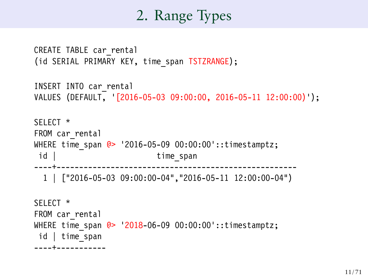# 2. Range Types

```
CREATE TABLE car_rental
(id SERIAL PRIMARY KEY, time span TSTZRANGE);
INSERT INTO car_rental
VALUES (DEFAULT, '[2016-05-03 09:00:00, 2016-05-11 12:00:00)');
SELECT *
FROM car rental
WHERE time span @> '2016-05-09 00:00:00'::timestamptz;
id | time span
----+-----------------------------------------------------
  1 | ["2016-05-03 09:00:00-04","2016-05-11 12:00:00-04")
SELECT *
FROM car_rental
WHERE time span @> '2018-06-09 00:00:00'::timestamptz;
 id | time_span
----+-----------
```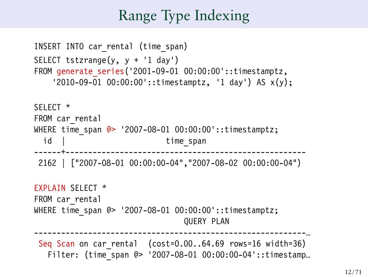# Range Type Indexing

```
INSERT INTO car_rental (time_span)
SELECT tstzrange(y, y + '1 day')
FROM generate_series('2001-09-01 00:00:00'::timestamptz,
    '2010-09-01 00:00:00'::timestamptz, '1 day') AS x(y);
SELECT *
FROM car rental
WHERE time span @> '2007-08-01 00:00:00'::timestamptz;
 id | time span
------+-----------------------------------------------------
2162 | ["2007-08-01 00:00:00-04","2007-08-02 00:00:00-04")
EXPLAIN SELECT *
FROM car rental
WHERE time span @> '2007-08-01 00:00:00'::timestamptz;
                                QUERY PLAN
------------------------------------------------------------…
Seq Scan on car rental (cost=0.00..64.69 rows=16 width=36)
  Filter: (time_span @> '2007-08-01 00:00:00-04'::timestamp…
```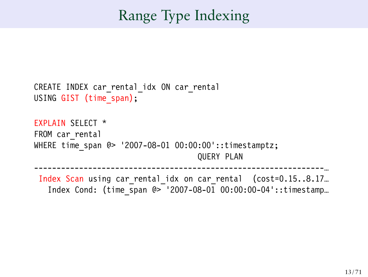# Range Type Indexing

```
CREATE INDEX car rental idx ON car rental
USING GIST (time_span);
EXPLAIN SELECT *
FROM car rental
WHERE time span @> '2007-08-01 00:00:00'::timestamptz;
                                    QUERY PLAN
----------------------------------------------------------------…
 Index Scan using car rental idx on car rental (cost=0.15..8.17…
   Index Cond: (time span @> '2007-08-01 00:00:00-04'::timestamp...
```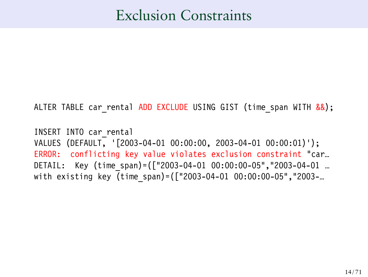#### Exclusion Constraints

ALTER TABLE car rental ADD EXCLUDE USING GIST (time span WITH &&);

INSERT INTO car\_rental VALUES (DEFAULT, '[2003-04-01 00:00:00, 2003-04-01 00:00:01)'); ERROR: conflicting key value violates exclusion constraint "car… DETAIL: Key (time\_span)=(["2003-04-01 00:00:00-05","2003-04-01 … with existing key  $\overline{t}$  (time span)=( $\left[$ "2003-04-01 00:00:00-05", "2003-...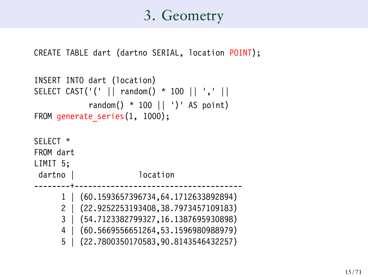# 3. Geometry

CREATE TABLE dart (dartno SERIAL, location POINT);

```
INSERT INTO dart (location)
SELECT CAST('(' || random() * 100 || ',' ||
            random() * 100 || ')' AS point)
FROM generate series(1, 1000);
SELECT *
FROM dart
LIMIT 5;
 dartno | location
--------+-------------------------------------
      1 | (60.1593657396734,64.1712633892894)
      2 | (22.9252253193408,38.7973457109183)
      3 | (54.7123382799327,16.1387695930898)
      4 | (60.5669556651264,53.1596980988979)
      5 | (22.7800350170583,90.8143546432257)
```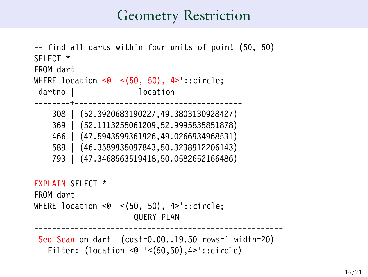## Geometry Restriction

```
-- find all darts within four units of point (50, 50)
SELECT *
FROM dart
WHERE location \leq 0 '\leq (50, 50), 4>'::circle;
dartno | location
--------+-------------------------------------
    308 | (52.3920683190227,49.3803130928427)
   369 | (52.1113255061209,52.9995835851878)
   466 | (47.5943599361926,49.0266934968531)
    589 | (46.3589935097843,50.3238912206143)
   793 | (47.3468563519418,50.0582652166486)
EXPLAIN SELECT *
FROM dart
WHERE location \leq 0 '\leq(50, 50), 4>'::circle;
                      QUERY PLAN
-------------------------------------------------------
 Seq Scan on dart (cost=0.00..19.50 rows=1 width=20)
   Filter: (location <@ '<(50,50),4>'::circle)
```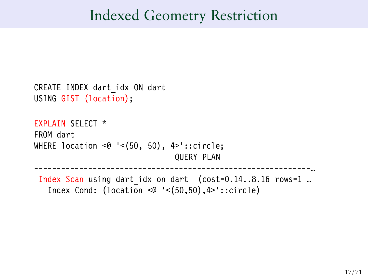## Indexed Geometry Restriction

```
CREATE INDEX dart_idx ON dart
USING GIST (location);
EXPLAIN SELECT *
FROM dart
WHERE location \leq 0 '\leq(50, 50), 4>'::circle;
                                 QUERY PLAN
-------------------------------------------------------------…
 Index Scan using dart idx on dart (cost=0.14..8.16 rows=1 ...
   Index Cond: (location \leq 0 '\leq(50,50),4>'::circle)
```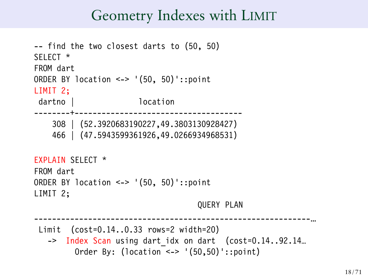## Geometry Indexes with LIMIT

```
-- find the two closest darts to (50, 50)
SELECT *
FROM dart
ORDER BY location <-> '(50, 50)'::point
LIMIT 2;
 dartno | location
      --------+-------------------------------------
    308 | (52.3920683190227,49.3803130928427)
    466 | (47.5943599361926,49.0266934968531)
EXPLAIN SELECT *
FROM dart
ORDER BY location <-> '(50, 50)'::point
LIMIT 2;
                                      QUERY PLAN
                  -------------------------------------------------------------…
 Limit (cost=0.14..0.33 rows=2 width=20)
   -> Index Scan using dart idx on dart (cost=0.14..92.14…
         Order By: (location \leq \geq '(50,50)'::point)
```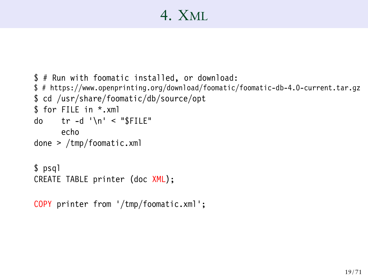# 4. XML

```
$ # Run with foomatic installed, or download:
$ # https://www.openprinting.org/download/foomatic/foomatic-db-4.0-current.tar.gz
$ cd /usr/share/foomatic/db/source/opt
$ for FILE in *.xml
do tr -d' \leq "SFILE"echo
done > /tmp/foomatic.xml
$ psql
CREATE TABLE printer (doc XML);
COPY printer from '/tmp/foomatic.xml';
```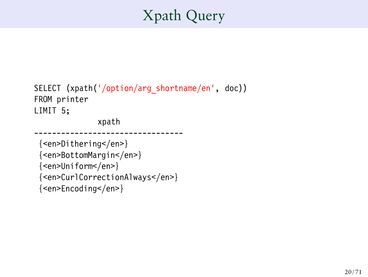# Xpath Query

```
SELECT (xpath('/option/arg_shortname/en', doc))
FROM printer
LIMIT 5;
```
xpath ---------------------------------

```
{<en>Dithering</en>}
{<en>BottomMargin</en>}
{<en>Uniform</en>}
{<en>CurlCorrectionAlways</en>}
{<en>Encoding</en>}
```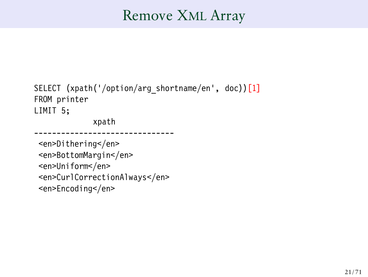## Remove XML Array

```
SELECT (xpath('/option/arg_shortname/en', doc))[1]
FROM printer
LIMIT 5;
```
xpath

-------------------------------

<en>Dithering</en> <en>BottomMargin</en> <en>Uniform</en> <en>CurlCorrectionAlways</en> <en>Encoding</en>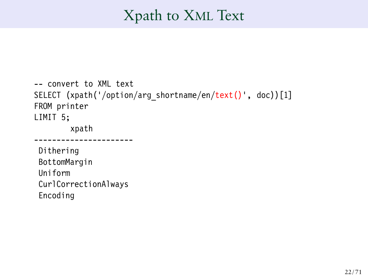## Xpath to XML Text

```
-- convert to XML text
SELECT (xpath('/option/arg_shortname/en/text()', doc))[1]
FROM printer
LIMIT 5;
        xpath
----------------------
 Dithering
 BottomMargin
 Uniform
 CurlCorrectionAlways
```
Encoding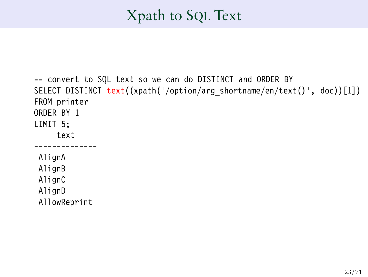# Xpath to SQL Text

```
-- convert to SQL text so we can do DISTINCT and ORDER BY
SELECT DISTINCT text((xpath('/option/arg_shortname/en/text()', doc))[1])
FROM printer
ORDER BY 1
LIMIT 5;
     text
--------------
 AlignA
 AlignB
 AlignC
 AlignD
 AllowReprint
```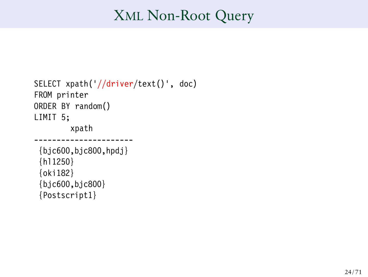## XML Non-Root Query

```
SELECT xpath('//driver/text()', doc)
FROM printer
ORDER BY random()
LIMIT 5;
        xpath
  ----------------------
 \{bjc600, bjc800, hpdj\}{hl1250}
 {oki182}
 {bjc600,bjc800}
 {Postscript1}
```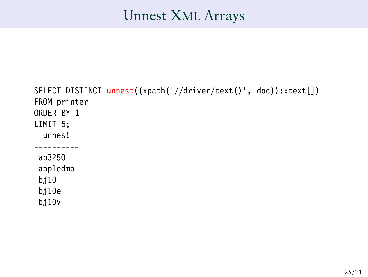## Unnest XML Arrays

```
SELECT DISTINCT unnest((xpath('//driver/text()', doc))::text[])
FROM printer
ORDER BY 1
LIMIT 5;
  unnest
----------
 ap3250
 appledmp
 bj10
 bj10e
 bj10v
```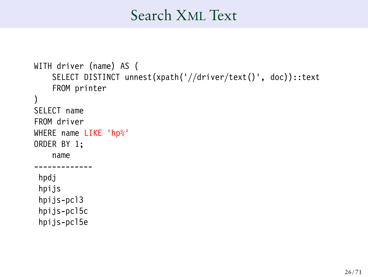#### Search XML Text

```
WITH driver (name) AS (
    SELECT DISTINCT unnest(xpath('//driver/text()', doc))::text
    FROM printer
)
SELECT name
FROM driver
WHERE name LIKE 'hp%'
ORDER BY 1;
    name
 -------------
 hpdj
 hpijs
 hpijs-pcl3
 hpijs-pcl5c
 hpijs-pcl5e
```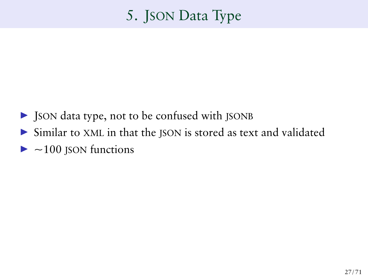# 5. JSON Data Type

- ▶ JSON data type, not to be confused with JSONB
- ▶ Similar to XML in that the JSON is stored as text and validated
- $\blacktriangleright$  ~100 JSON functions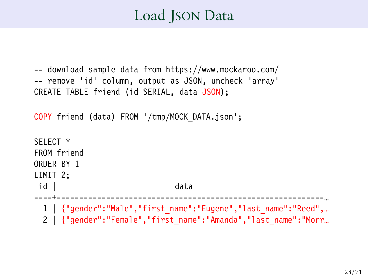## Load JSON Data

-- download sample data from https://www.mockaroo.com/ -- remove 'id' column, output as JSON, uncheck 'array' CREATE TABLE friend (id SERIAL, data JSON);

COPY friend (data) FROM '/tmp/MOCK\_DATA.json';

```
SELECT *
FROM friend
ORDER BY 1
LIMIT 2;
 id | data
----+-----------------------------------------------------------…
 1 | {"gender":"Male","first_name":"Eugene","last_name":"Reed",...
 2 | {"gender":"Female","first_name":"Amanda","last_name":"Morr...
```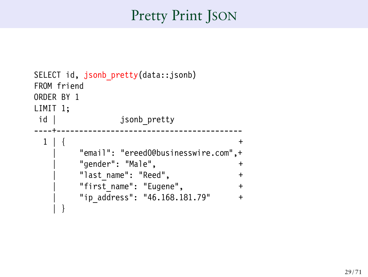## Pretty Print JSON

```
SELECT id, jsonb pretty(data::jsonb)
FROM friend
ORDER BY 1
LIMIT 1;
id | id jsonb pretty
----+-----------------------------------------
  1 \mid \{| "email": "ereed0@businesswire.com",+
         "gender": "Male",
         "last name": "Reed",
         "first name": "Eugene",
         | "ip_address": "46.168.181.79" +
    | }
```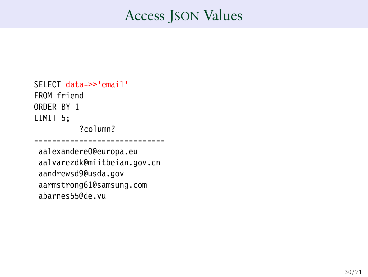## Access JSON Values

SELECT data->>'email' FROM friend ORDER BY 1 LIMIT 5; ?column?

aalexandere0@europa.eu aalvarezdk@miitbeian.gov.cn aandrewsd9@usda.gov aarmstrong61@samsung.com abarnes55@de.vu

-----------------------------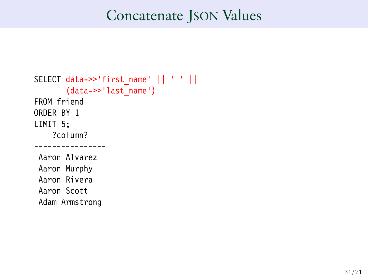## Concatenate JSON Values

```
SELECT data->>'first name' || ' ' ||
       (data->>'last_name')
FROM friend
ORDER BY 1
LIMIT 5;
    ?column?
 ----------------
 Aaron Alvarez
 Aaron Murphy
 Aaron Rivera
 Aaron Scott
 Adam Armstrong
```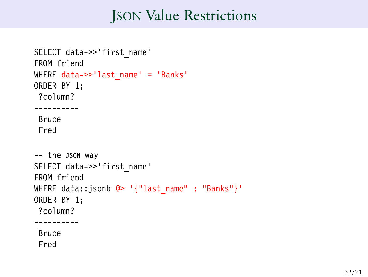## **JSON Value Restrictions**

```
SELECT data->>'first_name'
FROM friend
WHERE data->>'last name' = 'Banks'
ORDER BY 1;
 ?column?
----------
 Bruce
 Fred
-- the JSON way
SELECT data->>'first_name'
FROM friend
WHERE data::jsonb @> '{"last name" : "Banks"}'
ORDER BY 1;
 ?column?
----------
 Bruce
 Fred
```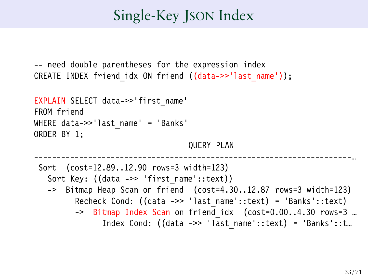# Single-Key JSON Index

-- need double parentheses for the expression index CREATE INDEX friend idx ON friend ((data->>'last name'));

```
EXPLAIN SELECT data->>'first_name'
FROM friend
WHERE data->>'last name' = 'Banks'
ORDER BY 1;
                                  QUERY PLAN
----------------------------------------------------------------------…
 Sort (cost=12.89..12.90 rows=3 width=123)
   Sort Key: ((data ->> 'first name'::text))
   -> Bitmap Heap Scan on friend (cost=4.30..12.87 rows=3 width=123)
         Recheck Cond: ((data ->> 'last name'::text) = 'Banks'::text)
         -> Bitmap Index Scan on friend idx (cost=0.00..4.30 rows=3 ...
               Index Cond: ((data ->> 'last name'::text) = 'Banks'::t…
```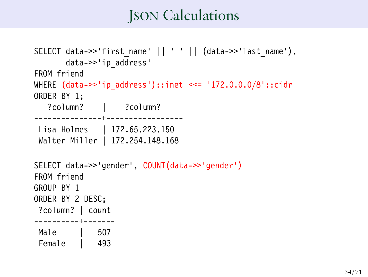# **JSON Calculations**

```
SELECT data->>'first name' || ' ' || (data->>'last name'),
      data->>'ip_address'
FROM friend
WHERE (data->>'ip_address')::inet <<= '172.0.0.0/8'::cidr
ORDER BY 1;
  ?column? | ?column?
---------------+-----------------
Lisa Holmes | 172.65.223.150
Walter Miller | 172.254.148.168
SELECT data->>'gender', COUNT(data->>'gender')
FROM friend
GROUP BY 1
ORDER BY 2 DESC;
?column? | count
----------+-------
Male | 507
 Female | 493
```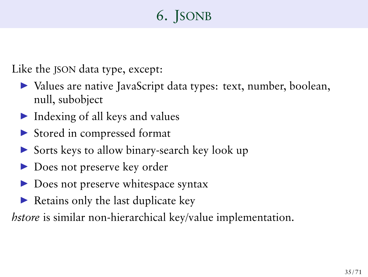# 6. JSONB

Like the JSON data type, except:

- ▶ Values are native JavaScript data types: text, number, boolean, null, subobject
- $\blacktriangleright$  Indexing of all keys and values
- ► Stored in compressed format
- $\triangleright$  Sorts keys to allow binary-search key look up
- ▶ Does not preserve key order
- ▶ Does not preserve whitespace syntax
- $\blacktriangleright$  Retains only the last duplicate key

*hstore* is similar non-hierarchical key/value implementation.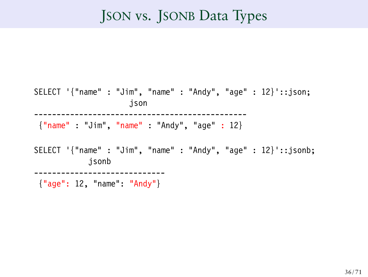## JSON vs. JSONB Data Types

SELECT '{"name" : "Jim", "name" : "Andy", "age" : 12}'::json; json ----------------------------------------------- {"name" : "Jim", "name" : "Andy", "age" : 12} SELECT '{"name" : "Jim", "name" : "Andy", "age" : 12}'::jsonb; jsonb ----------------------------- {"age": 12, "name": "Andy"}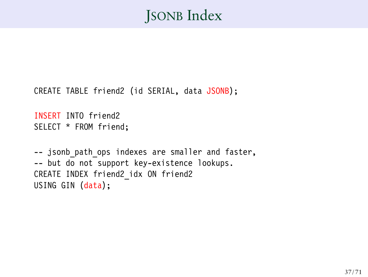# JSONB Index

CREATE TABLE friend2 (id SERIAL, data JSONB);

INSERT INTO friend2 SELECT \* FROM friend;

-- jsonb path ops indexes are smaller and faster, -- but do not support key-existence lookups. CREATE INDEX friend2\_idx ON friend2 USING GIN (data);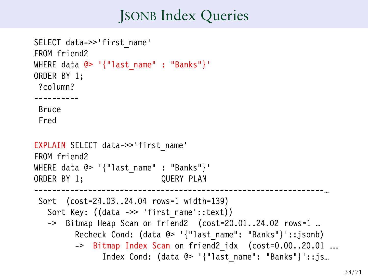## **JSONB Index Queries**

```
SELECT data->>'first_name'
FROM friend2
WHERE data @> '{"last name" : "Banks"}'
ORDER BY 1;
?column?
 ----------
Bruce
 Fred
EXPLAIN SELECT data->>'first_name'
FROM friend2
WHERE data @> '{"last name" : "Banks"}'
ORDER BY 1; OUERY PLAN
----------------------------------------------------------------…
 Sort (cost=24.03..24.04 rows=1 width=139)
   Sort Key: ((data ->> 'first name'::text))
   -> Bitmap Heap Scan on friend2 (cost=20.01..24.02 rows=1 …
         Recheck Cond: (data @> '{"last name": "Banks"}'::jsonb)
         -> Bitmap Index Scan on friend2 idx (cost=0.00..20.01 .....
               Index Cond: (data @> '{"last_name": "Banks"}'::js…
```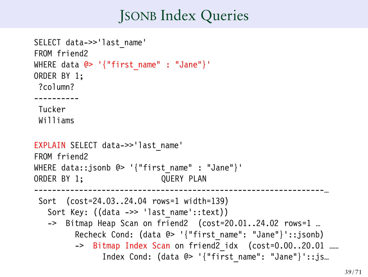## **JSONB Index Queries**

```
SELECT data->>'last_name'
FROM friend2
WHERE data @> '{"first name" : "Jane"}'
ORDER BY 1;
?column?
 ----------
Tucker
Williams
EXPLAIN SELECT data->>'last_name'
FROM friend2
WHERE data::jsonb @> '{"first name" : "Jane"}'
ORDER BY 1; OUERY PLAN
----------------------------------------------------------------…
 Sort (cost=24.03..24.04 rows=1 width=139)
   Sort Key: ((data ->> 'last name'::text))
   -> Bitmap Heap Scan on friend2 (cost=20.01..24.02 rows=1 …
         Recheck Cond: (data @> '{"first_name": "Jane"}'::jsonb)
         -> Bitmap Index Scan on friend2 idx (cost=0.00..20.01 .....
               Index Cond: (data @> '{"first_name": "Jane"}'::js…
```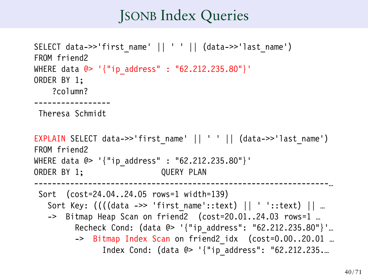## **JSONB Index Queries**

```
SELECT data->>'first name' || ' ' || (data->>'last name')
FROM friend2
WHERE data @> '{"ip_address" : "62.212.235.80"}'
ORDER BY 1;
    ?column?
  -----------------
 Theresa Schmidt
EXPLAIN SELECT data->>'first name' || ' ' || (data->>'last name')
FROM friend2
WHERE data @> '{"ip_address" : "62.212.235.80"}'
ORDER BY 1; QUERY PLAN
-----------------------------------------------------------------…
 Sort (cost=24.04..24.05 rows=1 width=139)
   Sort Key: (((data \rightarrow>) 'first name'::text) || ' '::text) || ...-> Bitmap Heap Scan on friend2 (cost=20.01..24.03 rows=1 …
         Recheck Cond: (data @> '{"ip_address": "62.212.235.80"}'…
         -> Bitmap Index Scan on friend2 idx (cost=0.00..20.01 ...
               Index Cond: (data @> '{"ip_address": "62.212.235.…
```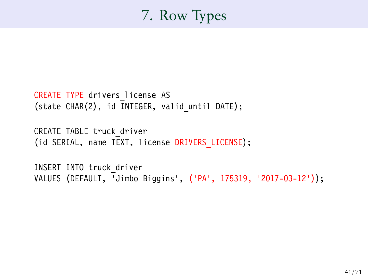# 7. Row Types

```
CREATE TYPE drivers license AS
(state CHAR(2), id INTEGER, valid until DATE);
```

```
CREATE TABLE truck_driver
(id SERIAL, name TEXT, license DRIVERS_LICENSE);
```

```
INSERT INTO truck_driver
VALUES (DEFAULT, 'Jimbo Biggins', ('PA', 175319, '2017-03-12'));
```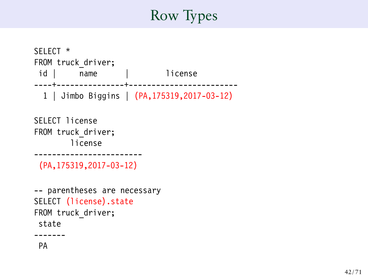# Row Types

```
SELECT *
FROM truck driver;
 id | name | license
----+---------------+------------------------
  1 | Jimbo Biggins | (PA,175319,2017-03-12)
SELECT license
FROM truck driver;
        license
    ------------------------
 (PA,175319,2017-03-12)
-- parentheses are necessary
SELECT (license).state
FROM truck driver;
 state
-------
 PA
```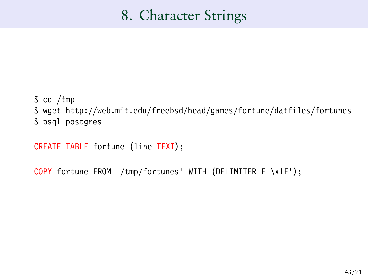# 8. Character Strings

\$ cd /tmp \$ wget http://web.mit.edu/freebsd/head/games/fortune/datfiles/fortunes \$ psql postgres

CREATE TABLE fortune (line TEXT);

COPY fortune FROM '/tmp/fortunes' WITH (DELIMITER E'\x1F');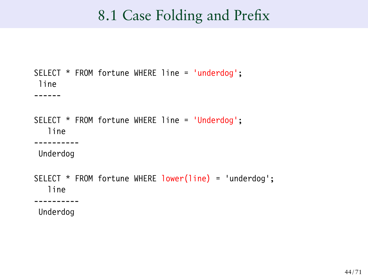## 8.1 Case Folding and Prefix

```
SELECT * FROM fortune WHERE line = 'underdog';
line
------
SELECT * FROM fortune WHERE line = 'Underdog';
  line
----------
 Underdog
SELECT * FROM fortune WHERE lower(line) = 'underdog';
  line
----------
 Underdog
```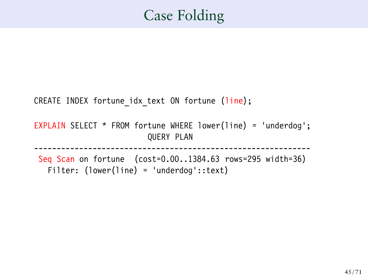# Case Folding

```
CREATE INDEX fortune idx text ON fortune (line);
EXPLAIN SELECT * FROM fortune WHERE lower(line) = 'underdog';
                         QUERY PLAN
-------------------------------------------------------------
 Seq Scan on fortune (cost=0.00..1384.63 rows=295 width=36)
   Filter: (lower(line) = 'underdog'::text)
```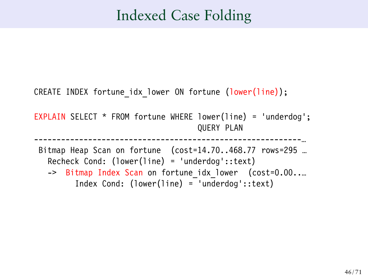## Indexed Case Folding

CREATE INDEX fortune idx lower ON fortune (lower(line));

EXPLAIN SELECT \* FROM fortune WHERE lower(line) = 'underdog'; QUERY PLAN -----------------------------------------------------------… Bitmap Heap Scan on fortune (cost=14.70..468.77 rows=295 … Recheck Cond: (lower(line) = 'underdog'::text) -> Bitmap Index Scan on fortune idx lower (cost=0.00... Index Cond: (lower(line) = 'underdog'::text)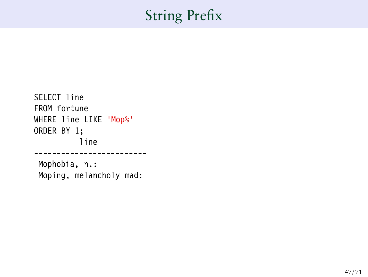# String Prefix

```
SELECT line
FROM fortune
WHERE line LIKE 'Mop%'
ORDER BY 1;
          line
-------------------------
 Mophobia, n.:
 Moping, melancholy mad:
```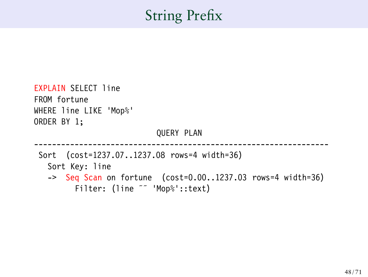# String Prefix

```
EXPLAIN SELECT line
FROM fortune
WHERE line LIKE 'Mop%'
ORDER BY 1;
                           QUERY PLAN
-----------------------------------------------------------------
 Sort (cost=1237.07..1237.08 rows=4 width=36)
   Sort Key: line
   -> Seq Scan on fortune (cost=0.00..1237.03 rows=4 width=36)
         Filter: (line ~~ 'Mop%'::text)
```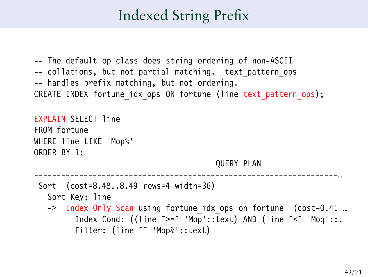# Indexed String Prefix

-- The default op class does string ordering of non-ASCII -- collations, but not partial matching. text pattern ops -- handles prefix matching, but not ordering. CREATE INDEX fortune idx ops ON fortune (line text pattern ops);

EXPLAIN SELECT line FROM fortune WHERE line LIKE 'Mop%' ORDER BY 1;

QUERY PLAN

-------------------------------------------------------------------… Sort (cost=8.48..8.49 rows=4 width=36) Sort Key: line -> Index Only Scan using fortune idx ops on fortune (cost=0.41 ... Index Cond: ((line ~>=~ 'Mop'::text) AND (line ~< 'Moq'::... Filter: (line ˜˜ 'Mop%'::text)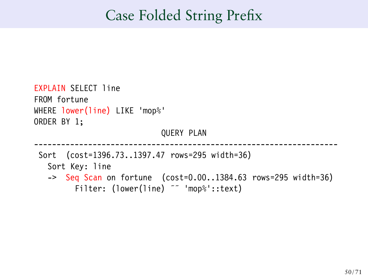## Case Folded String Prefix

```
EXPLAIN SELECT line
FROM fortune
WHERE lower(line) LIKE 'mop%'
ORDER BY 1;
                            QUERY PLAN
-------------------------------------------------------------------
 Sort (cost=1396.73..1397.47 rows=295 width=36)
   Sort Key: line
   -> Seq Scan on fortune (cost=0.00..1384.63 rows=295 width=36)
         Filter: (lower(line) ~~ 'mop%'::text)
```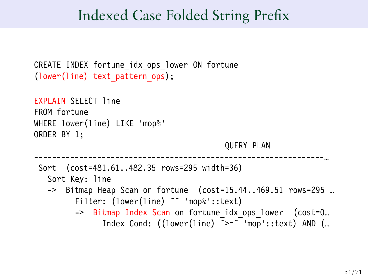## Indexed Case Folded String Prefix

```
CREATE INDEX fortune idx ops lower ON fortune
(lower(line) text_pattern_ops);
EXPLAIN SELECT line
FROM fortune
WHERE lower(line) LIKE 'mop%'
ORDER BY 1;
                                             QUERY PLAN
                 ----------------------------------------------------------------…
 Sort (cost=481.61..482.35 rows=295 width=36)
   Sort Key: line
   -> Bitmap Heap Scan on fortune (cost=15.44..469.51 rows=295 …
         Filter: (lower(line) ~~ 'mop%'::text)
         -> Bitmap Index Scan on fortune idx ops lower (cost=0...
                Index Cond: (1ower(line) \bar{z} = \bar{z} 'mop'::text) AND (...
```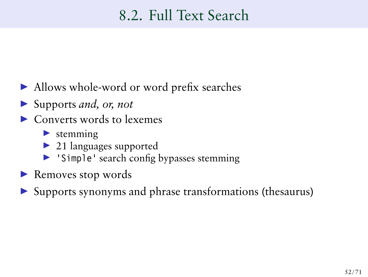# 8.2. Full Text Search

- ▶ Allows whole-word or word prefix searches
- ▶ Supports *and, or, not*
- $\blacktriangleright$  Converts words to lexemes
	- $\blacktriangleright$  stemming
	- ▶ 21 languages supported
	- ▶ 'Simple' search config bypasses stemming
- ▶ Removes stop words
- ▶ Supports synonyms and phrase transformations (thesaurus)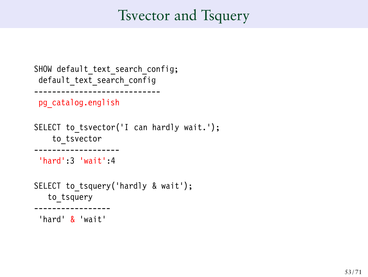# Tsvector and Tsquery

```
SHOW default text search config;
default_text_search_config
----------------------------
pg_catalog.english
SELECT to tsvector('I can hardly wait.');
    to_tsvector
-------------------
 'hard':3 'wait':4
SELECT to tsquery('hardly & wait');
   to_tsquery
     -----------------
 'hard' & 'wait'
```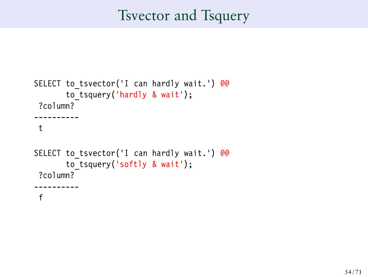# Tsvector and Tsquery

```
SELECT to tsvector('I can hardly wait.') @@
       to tsquery('hardly & wait');
 ?column?
----------
 t
SELECT to tsvector('I can hardly wait.') @@
       to tsquery('softly & wait');
 ?column?
 ----------
 f
```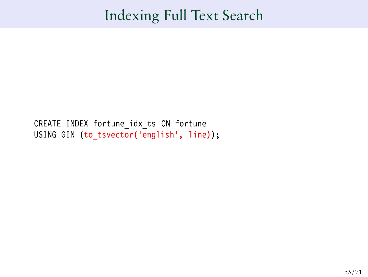## Indexing Full Text Search

```
CREATE INDEX fortune_idx_ts ON fortune
USING GIN (to_tsvector('english', line));
```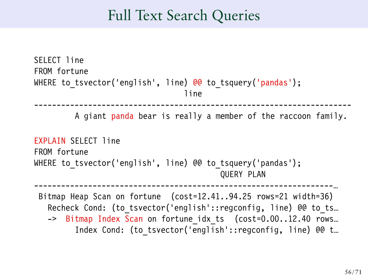## Full Text Search Queries

```
SELECT line
FROM fortune
WHERE to_tsvector('english', line) @@ to tsquery('pandas');
                                    line
----------------------------------------------------------------------
         A giant panda bear is really a member of the raccoon family.
EXPLAIN SELECT line
FROM fortune
WHERE to_tsvector('english', line) @@ to tsquery('pandas');
                                             QUERY PLAN
                           ------------------------------------------------------------------…
 Bitmap Heap Scan on fortune (cost=12.41..94.25 rows=21 width=36)
   Recheck Cond: (to tsvector('english'::regconfig, line) @@ to ts...
   -> Bitmap Index Scan on fortune idx ts (cost=0.00..12.40 rows...
          Index Cond: (to tsvector('english'::regconfig, line) @@ t...
```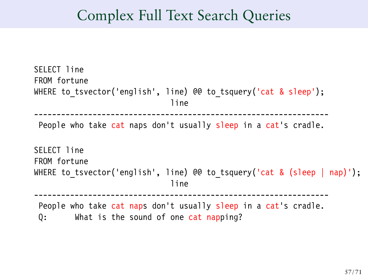## Complex Full Text Search Queries

```
SELECT line
FROM fortune
WHERE to tsvector('english', line) @@ to tsquery('cat & sleep');
                              line
-----------------------------------------------------------------
 People who take cat naps don't usually sleep in a cat's cradle.
SELECT line
FROM fortune
WHERE to tsvector('english', line) @@ to tsquery('cat & (sleep | nap)');
                              line
-----------------------------------------------------------------
 People who take cat naps don't usually sleep in a cat's cradle.
 Q: What is the sound of one cat napping?
```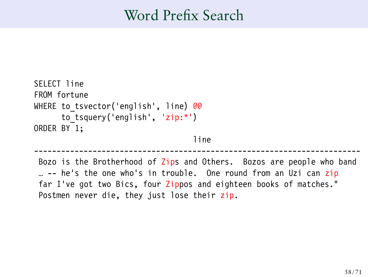## Word Prefix Search

```
SELECT line
FROM fortune
WHERE to tsvector('english', line) @@
      to tsquery('english', 'zip:*')
ORDER BY 1;
```
line

------------------------------------------------------------------------ Bozo is the Brotherhood of Zips and Others. Bozos are people who band … -- he's the one who's in trouble. One round from an Uzi can zip far I've got two Bics, four Zippos and eighteen books of matches." Postmen never die, they just lose their zip.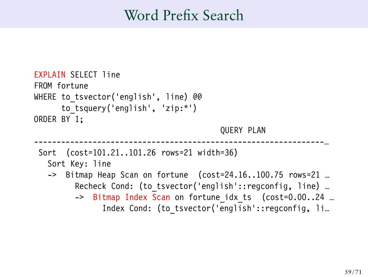## Word Prefix Search

```
EXPLAIN SELECT line
FROM fortune
WHERE to tsvector('english', line) @@
      to tsquery('english', 'zip:*')
ORDER BY 1;
                                           QUERY PLAN
                        ----------------------------------------------------------------…
 Sort (cost=101.21..101.26 rows=21 width=36)
   Sort Key: line
   -> Bitmap Heap Scan on fortune (cost=24.16..100.75 rows=21 …
         Recheck Cond: (to tsvector('english'::regconfig, line) …
         -> Bitmap Index Scan on fortune idx ts (cost=0.00..24 ...
                Index Cond: (to_tsvector('english'::regconfig, li…
```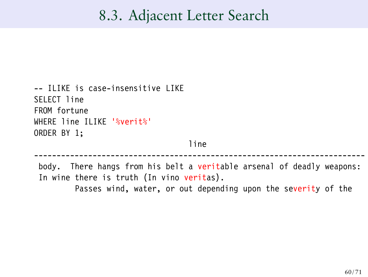## 8.3. Adjacent Letter Search

```
-- ILIKE is case-insensitive LIKE
SELECT line
FROM fortune
WHERE line ILIKE '%verit%'
ORDER BY 1;
```
#### line

------------------------------------------------------------------------ body. There hangs from his belt a veritable arsenal of deadly weapons: In wine there is truth (In vino veritas). Passes wind, water, or out depending upon the severity of the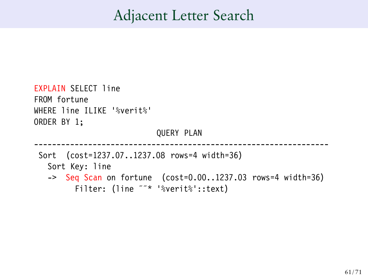## Adjacent Letter Search

```
EXPLAIN SELECT line
FROM fortune
WHERE line ILIKE '%verit%'
ORDER BY 1;
                           QUERY PLAN
-----------------------------------------------------------------
 Sort (cost=1237.07..1237.08 rows=4 width=36)
   Sort Key: line
   -> Seq Scan on fortune (cost=0.00..1237.03 rows=4 width=36)
         Filter: (line ˜˜* '%verit%'::text)
```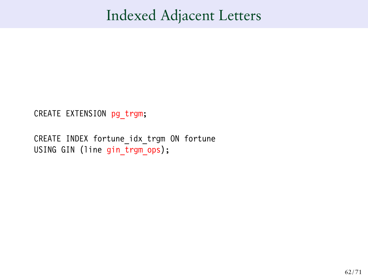# Indexed Adjacent Letters

CREATE EXTENSION pg\_trgm;

CREATE INDEX fortune idx trgm ON fortune USING GIN (line gin trgm ops);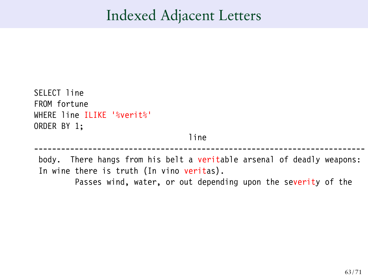## Indexed Adjacent Letters

```
SELECT line
FROM fortune
WHERE line ILIKE '%verit%'
ORDER BY 1;
```
#### line

------------------------------------------------------------------------ body. There hangs from his belt a veritable arsenal of deadly weapons: In wine there is truth (In vino veritas).

Passes wind, water, or out depending upon the severity of the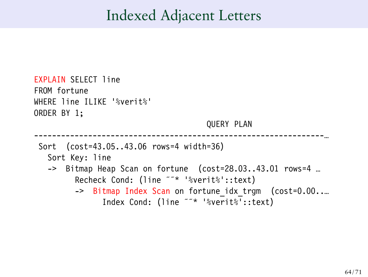## Indexed Adjacent Letters

```
EXPLAIN SELECT line
FROM fortune
WHERE line ILIKE '%verit%'
ORDER BY 1;
                                        QUERY PLAN
                   ----------------------------------------------------------------…
 Sort (cost=43.05..43.06 rows=4 width=36)
   Sort Key: line
   -> Bitmap Heap Scan on fortune (cost=28.03..43.01 rows=4 …
         Recheck Cond: (line ˜˜* '%verit%'::text)
         -> Bitmap Index Scan on fortune idx trgm (cost=0.00...
                Index Cond: (line ˜˜* '%verit%'::text)
```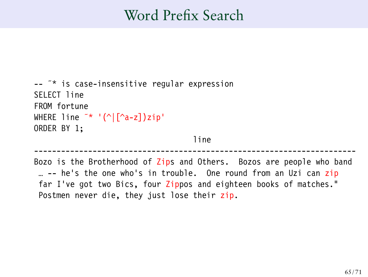## Word Prefix Search

```
-- <sup>\sim</sup> is case-insensitive regular expression
SELECT line
FROM fortune
WHERE line \tilde{a} '(^|[^a-z])zip'
ORDER BY 1;
```

```
line
```
----------------------------------------------------------------------- Bozo is the Brotherhood of Zips and Others. Bozos are people who band … -- he's the one who's in trouble. One round from an Uzi can zip far I've got two Bics, four Zippos and eighteen books of matches." Postmen never die, they just lose their zip.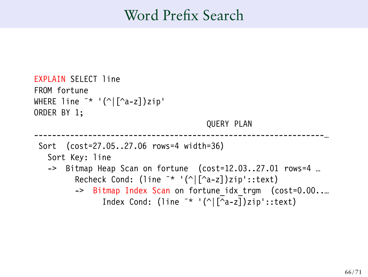## Word Prefix Search

```
EXPLAIN SELECT line
FROM fortune
WHERE line \tilde{a} '(^|[^a-z])zip'
ORDER BY 1;
                                            QUERY PLAN
                          ----------------------------------------------------------------…
 Sort (cost=27.05..27.06 rows=4 width=36)
   Sort Key: line
   -> Bitmap Heap Scan on fortune (cost=12.03..27.01 rows=4 …
          Recheck Cond: (line ˜* '(^|[^a-z])zip'::text)
          -> Bitmap Index Scan on fortune idx trgm (cost=0.00...
                 Index Cond: (line \tilde{a} '(^|[^a-z])zip'::text)
```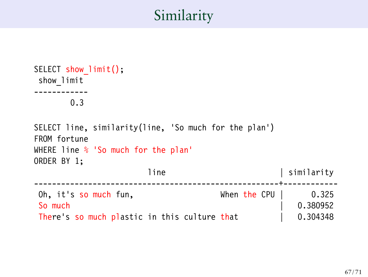## Similarity

```
SELECT show limit();
show limit
------------
      0.3
SELECT line, similarity(line, 'So much for the plan')
FROM fortune
WHERE line % 'So much for the plan'
ORDER BY 1;
                    line | similarity
------------------------------------------------------+------------
Oh, it's so much fun, When the CPU | 0.325
 So much \vert 0.380952
There's so much plastic in this culture that | 0.304348
```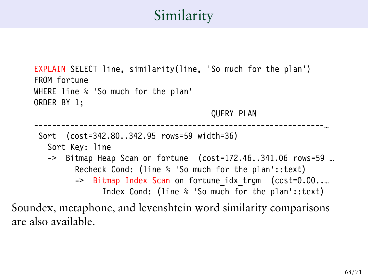# Similarity

```
EXPLAIN SELECT line, similarity(line, 'So much for the plan')
FROM fortune
WHERE line % 'So much for the plan'
ORDER BY 1;
                                           QUERY PLAN
                                                     ----------------------------------------------------------------…
 Sort (cost=342.80..342.95 rows=59 width=36)
   Sort Key: line
   -> Bitmap Heap Scan on fortune (cost=172.46..341.06 rows=59 …
          Recheck Cond: (line % 'So much for the plan'::text)
          -> Bitmap Index Scan on fortune idx trgm (cost=0.00...
                 Index Cond: (line % 'So much for the plan'::text)
```
Soundex, metaphone, and levenshtein word similarity comparisons are also available.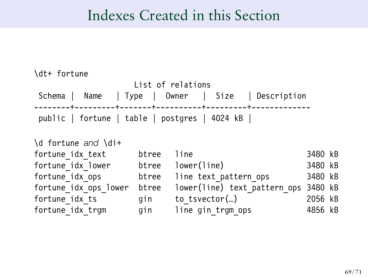#### Indexes Created in this Section



fortune idx trgm gin line gin trgm ops 4856 kB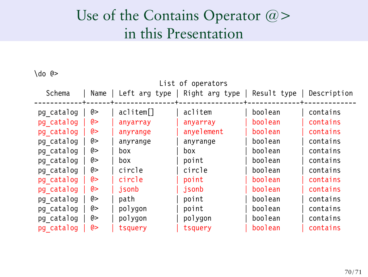# Use of the Contains Operator  $@>$ in this Presentation

\do @>

| List of operators |     |                       |                                                                   |         |          |
|-------------------|-----|-----------------------|-------------------------------------------------------------------|---------|----------|
| Schema            |     |                       | Name   Left arg type   Right arg type   Result type   Description |         |          |
|                   |     |                       |                                                                   |         |          |
| pg catalog        | (ծ> | aclitem <sup>[]</sup> | aclitem                                                           | boolean | contains |
| pg catalog        | (∂> | anyarray              | anyarray                                                          | boolean | contains |
| pg catalog        | (∂> | anyrange              | anyelement                                                        | boolean | contains |
| pg catalog        | (∂> | anyrange              | anyrange                                                          | boolean | contains |
| pg catalog        | (∂> | box                   | box                                                               | boolean | contains |
| pg catalog        | (∂> | box                   | point                                                             | boolean | contains |
| pg catalog        | (∂> | circle                | circle                                                            | boolean | contains |
| pg catalog        | (∂> | circle                | point                                                             | boolean | contains |
| pg catalog        | (∂> | jsonb                 | jsonb                                                             | boolean | contains |
| pg catalog        | (∂> | path                  | point                                                             | boolean | contains |
| pg catalog        | (∂> | polygon               | point                                                             | boolean | contains |
| pg catalog        | (ծ> | polygon               | polygon                                                           | boolean | contains |
| pg catalog        | (∂> | tsquery               | tsquery                                                           | boolean | contains |